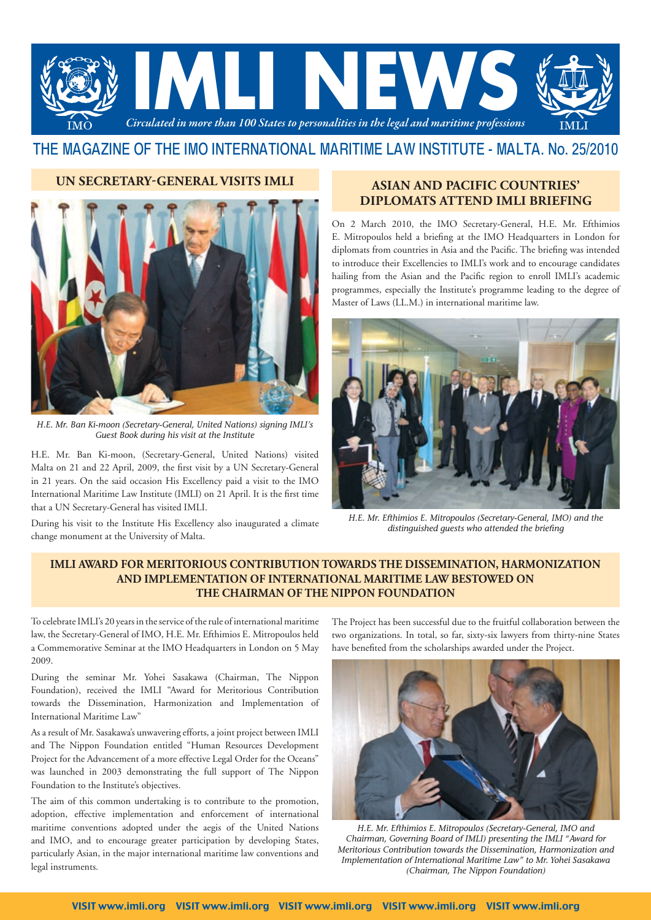

# THE MAGAZINE OF THE IMO INTERNATIONAL MARITIME LAW INSTITUTE - MALTA. No. 25/2010

#### **UN SECRETARY-GENERAL VISITS IMLI**



*H.E. Mr. Ban Ki-moon (Secretary-General, United Nations) signing IMLI's Guest Book during his visit at the Institute*

H.E. Mr. Ban Ki-moon, (Secretary-General, United Nations) visited Malta on 21 and 22 April, 2009, the first visit by a UN Secretary-General in 21 years. On the said occasion His Excellency paid a visit to the IMO International Maritime Law Institute (IMLI) on 21 April. It is the first time that a UN Secretary-General has visited IMLI.

During his visit to the Institute His Excellency also inaugurated a climate change monument at the University of Malta.

## **ASIAN AND PACIFIC COUNTRIES' DIPLOMATS ATTEND IMLI BRIEFING**

On 2 March 2010, the IMO Secretary-General, H.E. Mr. Efthimios E. Mitropoulos held a briefing at the IMO Headquarters in London for diplomats from countries in Asia and the Pacific. The briefing was intended to introduce their Excellencies to IMLI's work and to encourage candidates hailing from the Asian and the Pacific region to enroll IMLI's academic programmes, especially the Institute's programme leading to the degree of Master of Laws (LL.M.) in international maritime law.



*H.E. Mr. Efthimios E. Mitropoulos (Secretary-General, IMO) and the distinguished guests who attended the briefing*

### **IMLI Award for Meritorious Contribution towards the Dissemination, Harmonization and Implementation of International Maritime Law Bestowed on the Chairman of The Nippon Foundation**

To celebrate IMLI's 20 years in the service of the rule of international maritime law, the Secretary-General of IMO, H.E. Mr. Efthimios E. Mitropoulos held a Commemorative Seminar at the IMO Headquarters in London on 5 May 2009.

During the seminar Mr. Yohei Sasakawa (Chairman, The Nippon Foundation), received the IMLI "Award for Meritorious Contribution towards the Dissemination, Harmonization and Implementation of International Maritime Law"

As a result of Mr. Sasakawa's unwavering efforts, a joint project between IMLI and The Nippon Foundation entitled "Human Resources Development Project for the Advancement of a more effective Legal Order for the Oceans" was launched in 2003 demonstrating the full support of The Nippon Foundation to the Institute's objectives.

The aim of this common undertaking is to contribute to the promotion, adoption, effective implementation and enforcement of international maritime conventions adopted under the aegis of the United Nations and IMO, and to encourage greater participation by developing States, particularly Asian, in the major international maritime law conventions and legal instruments.

The Project has been successful due to the fruitful collaboration between the two organizations. In total, so far, sixty-six lawyers from thirty-nine States have benefited from the scholarships awarded under the Project.



*H.E. Mr. Efthimios E. Mitropoulos (Secretary-General, IMO and Chairman, Governing Board of IMLI) presenting the IMLI "Award for Meritorious Contribution towards the Dissemination, Harmonization and Implementation of International Maritime Law" to Mr. Yohei Sasakawa (Chairman, The Nippon Foundation)*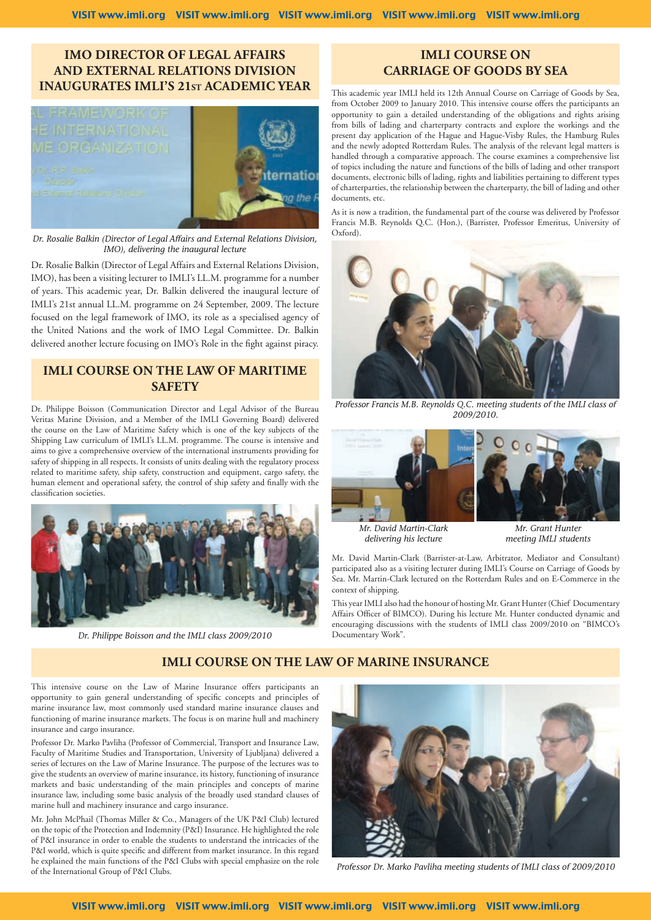## **IMO DIRECTOR OF LEGAL AFFAIRS AND EXTERNAL RELATIONS DIVISION INAUGURATES IMLI'S 21ST ACADEMIC YEAR**



*Dr. Rosalie Balkin (Director of Legal Affairs and External Relations Division, IMO), delivering the inaugural lecture*

Dr. Rosalie Balkin (Director of Legal Affairs and External Relations Division, IMO), has been a visiting lecturer to IMLI's LL.M. programme for a number of years. This academic year, Dr. Balkin delivered the inaugural lecture of IMLI's 21st annual LL.M. programme on 24 September, 2009. The lecture focused on the legal framework of IMO, its role as a specialised agency of the United Nations and the work of IMO Legal Committee. Dr. Balkin delivered another lecture focusing on IMO's Role in the fight against piracy.

### **IMLI COURSE ON THE LAW OF MARITIME SAFETY**

Dr. Philippe Boisson (Communication Director and Legal Advisor of the Bureau Veritas Marine Division, and a Member of the IMLI Governing Board) delivered the course on the Law of Maritime Safety which is one of the key subjects of the Shipping Law curriculum of IMLI's LL.M. programme. The course is intensive and aims to give a comprehensive overview of the international instruments providing for safety of shipping in all respects. It consists of units dealing with the regulatory process related to maritime safety, ship safety, construction and equipment, cargo safety, the human element and operational safety, the control of ship safety and finally with the classification societies.



*Dr. Philippe Boisson and the IMLI class 2009/2010*

## **IMLI COURSE ON CARRIAGE OF GOODS BY SEA**

This academic year IMLI held its 12th Annual Course on Carriage of Goods by Sea, from October 2009 to January 2010. This intensive course offers the participants an opportunity to gain a detailed understanding of the obligations and rights arising from bills of lading and charterparty contracts and explore the workings and the present day application of the Hague and Hague-Visby Rules, the Hamburg Rules and the newly adopted Rotterdam Rules. The analysis of the relevant legal matters is handled through a comparative approach. The course examines a comprehensive list of topics including the nature and functions of the bills of lading and other transport documents, electronic bills of lading, rights and liabilities pertaining to different types of charterparties, the relationship between the charterparty, the bill of lading and other documents, etc.

As it is now a tradition, the fundamental part of the course was delivered by Professor Francis M.B. Reynolds Q.C. (Hon.), (Barrister, Professor Emeritus, University of Oxford).



*Professor Francis M.B. Reynolds Q.C. meeting students of the IMLI class of 2009/2010.*



*Mr. David Martin-Clark delivering his lecture*

*Mr. Grant Hunter meeting IMLI students*

Mr. David Martin-Clark (Barrister-at-Law, Arbitrator, Mediator and Consultant) participated also as a visiting lecturer during IMLI's Course on Carriage of Goods by Sea. Mr. Martin-Clark lectured on the Rotterdam Rules and on E-Commerce in the context of shipping.

This year IMLI also had the honour of hosting Mr. Grant Hunter (Chief Documentary Affairs Officer of BIMCO). During his lecture Mr. Hunter conducted dynamic and encouraging discussions with the students of IMLI class 2009/2010 on "BIMCO's Documentary Work".

### **IMLI COURSE ON THE LAW OF MARINE INSURANCE**

This intensive course on the Law of Marine Insurance offers participants an opportunity to gain general understanding of specific concepts and principles of marine insurance law, most commonly used standard marine insurance clauses and functioning of marine insurance markets. The focus is on marine hull and machinery insurance and cargo insurance.

Professor Dr. Marko Pavliha (Professor of Commercial, Transport and Insurance Law, Faculty of Maritime Studies and Transportation, University of Ljubljana) delivered a series of lectures on the Law of Marine Insurance. The purpose of the lectures was to give the students an overview of marine insurance, its history, functioning of insurance markets and basic understanding of the main principles and concepts of marine insurance law, including some basic analysis of the broadly used standard clauses of marine hull and machinery insurance and cargo insurance.

Mr. John McPhail (Thomas Miller & Co., Managers of the UK P&I Club) lectured on the topic of the Protection and Indemnity (P&I) Insurance. He highlighted the role of P&I insurance in order to enable the students to understand the intricacies of the P&I world, which is quite specific and different from market insurance. In this regard he explained the main functions of the P&I Clubs with special emphasize on the role



Professor Dr. Marko Pavliha meeting students of IMLI class of 2009/2010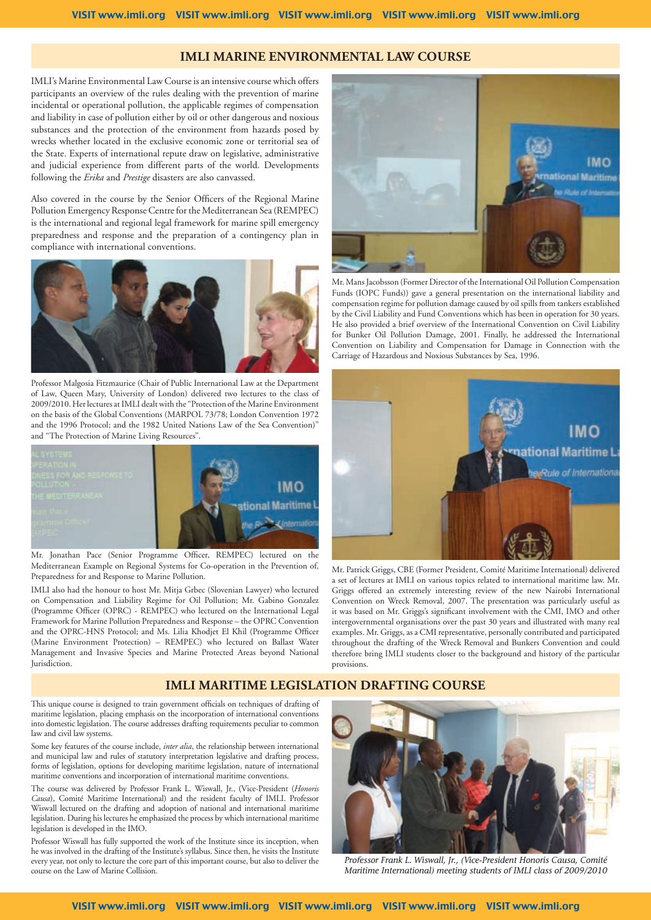#### **IMLI MARINE ENVIRONMENTAL LAW COURSE**

IMLI's Marine Environmental Law Course is an intensive course which offers participants an overview of the rules dealing with the prevention of marine incidental or operational pollution, the applicable regimes of compensation and liability in case of pollution either by oil or other dangerous and noxious substances and the protection of the environment from hazards posed by wrecks whether located in the exclusive economic zone or territorial sea of the State. Experts of international repute draw on legislative, administrative and judicial experience from different parts of the world. Developments following the *Erika* and *Prestige* disasters are also canvassed.

Also covered in the course by the Senior Officers of the Regional Marine Pollution Emergency Response Centre for the Mediterranean Sea (REMPEC) is the international and regional legal framework for marine spill emergency preparedness and response and the preparation of a contingency plan in compliance with international conventions.



Professor Malgosia Fitzmaurice (Chair of Public International Law at the Department of Law, Queen Mary, University of London) delivered two lectures to the class of 2009/2010. Her lectures at IMLI dealt with the "Protection of the Marine Environment on the basis of the Global Conventions (MARPOL 73/78; London Convention 1972 and the 1996 Protocol; and the 1982 United Nations Law of the Sea Convention)" and "The Protection of Marine Living Resources".



Mr. Jonathan Pace (Senior Programme Officer, REMPEC) lectured on the Mediterranean Example on Regional Systems for Co-operation in the Prevention of, Preparedness for and Response to Marine Pollution.

IMLI also had the honour to host Mr. Mitja Grbec (Slovenian Lawyer) who lectured on Compensation and Liability Regime for Oil Pollution; Mr. Gabino Gonzalez (Programme Officer (OPRC) - REMPEC) who lectured on the International Legal Framework for Marine Pollution Preparedness and Response – the OPRC Convention and the OPRC-HNS Protocol; and Ms. Lilia Khodjet El Khil (Programme Officer (Marine Environment Protection) – REMPEC) who lectured on Ballast Water Management and Invasive Species and Marine Protected Areas beyond National Jurisdiction.



Mr. Mans Jacobsson (Former Director of the International Oil Pollution Compensation Funds (IOPC Funds)) gave a general presentation on the international liability and compensation regime for pollution damage caused by oil spills from tankers established by the Civil Liability and Fund Conventions which has been in operation for 30 years. He also provided a brief overview of the International Convention on Civil Liability for Bunker Oil Pollution Damage, 2001. Finally, he addressed the International Convention on Liability and Compensation for Damage in Connection with the Carriage of Hazardous and Noxious Substances by Sea, 1996.



Mr. Patrick Griggs, CBE (Former President, Comité Maritime International) delivered a set of lectures at IMLI on various topics related to international maritime law. Mr. Griggs offered an extremely interesting review of the new Nairobi International Convention on Wreck Removal, 2007. The presentation was particularly useful as it was based on Mr. Griggs's significant involvement with the CMI, IMO and other intergovernmental organisations over the past 30 years and illustrated with many real examples. Mr. Griggs, as a CMI representative, personally contributed and participated throughout the drafting of the Wreck Removal and Bunkers Convention and could therefore bring IMLI students closer to the background and history of the particular provisions.

#### **IMLI MARITIME LEGISLATION DRAFTING COURSE**

This unique course is designed to train government officials on techniques of drafting of maritime legislation, placing emphasis on the incorporation of international conventions into domestic legislation. The course addresses drafting requirements peculiar to common law and civil law systems.

Some key features of the course include, *inter alia*, the relationship between international and municipal law and rules of statutory interpretation legislative and drafting process, forms of legislation, options for developing maritime legislation, nature of international maritime conventions and incorporation of international maritime conventions.

The course was delivered by Professor Frank L. Wiswall, Jr., (Vice-President (*Honoris Causa*), Comité Maritime International) and the resident faculty of IMLI. Professor Wiswall lectured on the drafting and adoption of national and international maritime legislation. During his lectures he emphasized the process by which international maritime legislation is developed in the IMO.

Professor Wiswall has fully supported the work of the Institute since its inception, when he was involved in the drafting of the Institute's syllabus. Since then, he visits the Institute every year, not only to lecture the core part of this important course, but also to deliver the course on the Law of Marine Collision.



*Professor Frank L. Wiswall, Jr., (Vice-President Honoris Causa, Comité Maritime International) meeting students of IMLI class of 2009/2010*